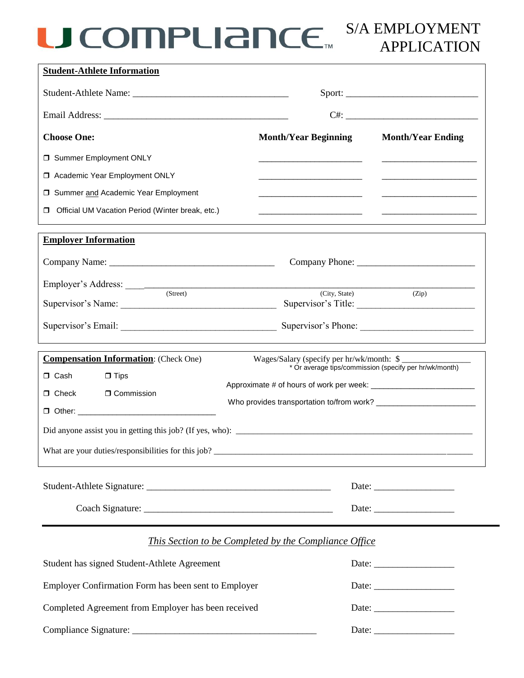## S/A EMPLOYMENT APPLICATION

| <b>Choose One:</b>                                     | <b>Month/Year Beginning</b>                                                | <b>Month/Year Ending</b>                                        |
|--------------------------------------------------------|----------------------------------------------------------------------------|-----------------------------------------------------------------|
| □ Summer Employment ONLY                               |                                                                            |                                                                 |
| □ Academic Year Employment ONLY                        | <u> 1989 - Johann John Stone, mensk politik (d. 1989)</u>                  | <u> 1989 - Johann John Stone, markin f</u>                      |
| □ Summer and Academic Year Employment                  | <u> 1989 - Johann John Stone, mensk politik (d. 1989)</u>                  | <u> 1980 - Johann Barn, mars eta bainar eta baina eta horre</u> |
| Official UM Vacation Period (Winter break, etc.)<br>Π. | the control of the control of the control of the control of the control of |                                                                 |
| <b>Employer Information</b>                            |                                                                            |                                                                 |
|                                                        |                                                                            |                                                                 |
|                                                        |                                                                            |                                                                 |
| (Street)                                               | (City, State)                                                              | (Zip)<br>Supervisor's Title:                                    |
|                                                        |                                                                            | Supervisor's Phone:                                             |
| <b>Compensation Information:</b> (Check One)           | Wages/Salary (specify per hr/wk/month: \$                                  |                                                                 |
| □ Cash<br>$\Box$ Tips                                  | * Or average tips/commission (specify per hr/wk/month)                     |                                                                 |
| $\Box$ Check<br><b>O</b> Commission                    |                                                                            |                                                                 |
| $\Box$ Other:                                          |                                                                            |                                                                 |
|                                                        |                                                                            |                                                                 |
|                                                        |                                                                            |                                                                 |
|                                                        |                                                                            |                                                                 |
|                                                        |                                                                            |                                                                 |

| Student has signed Student-Athlete Agreement                |                       |
|-------------------------------------------------------------|-----------------------|
| <b>Employer Confirmation Form has been sent to Employer</b> |                       |
| Completed Agreement from Employer has been received         | Date: $\qquad \qquad$ |
|                                                             |                       |